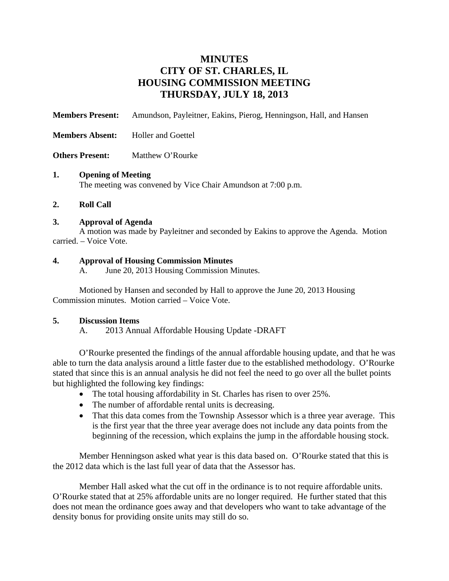# **MINUTES CITY OF ST. CHARLES, IL HOUSING COMMISSION MEETING THURSDAY, JULY 18, 2013**

**Members Present:** Amundson, Payleitner, Eakins, Pierog, Henningson, Hall, and Hansen

- **Members Absent:** Holler and Goettel
- **Others Present:** Matthew O'Rourke

#### **1. Opening of Meeting**

The meeting was convened by Vice Chair Amundson at 7:00 p.m.

#### **2. Roll Call**

#### **3. Approval of Agenda**

A motion was made by Payleitner and seconded by Eakins to approve the Agenda. Motion carried. – Voice Vote.

## **4. Approval of Housing Commission Minutes**

A. June 20, 2013 Housing Commission Minutes.

Motioned by Hansen and seconded by Hall to approve the June 20, 2013 Housing Commission minutes. Motion carried – Voice Vote.

## **5. Discussion Items**

A. 2013 Annual Affordable Housing Update -DRAFT

O'Rourke presented the findings of the annual affordable housing update, and that he was able to turn the data analysis around a little faster due to the established methodology. O'Rourke stated that since this is an annual analysis he did not feel the need to go over all the bullet points but highlighted the following key findings:

- The total housing affordability in St. Charles has risen to over 25%.
- The number of affordable rental units is decreasing.
- That this data comes from the Township Assessor which is a three year average. This is the first year that the three year average does not include any data points from the beginning of the recession, which explains the jump in the affordable housing stock.

Member Henningson asked what year is this data based on. O'Rourke stated that this is the 2012 data which is the last full year of data that the Assessor has.

Member Hall asked what the cut off in the ordinance is to not require affordable units. O'Rourke stated that at 25% affordable units are no longer required. He further stated that this does not mean the ordinance goes away and that developers who want to take advantage of the density bonus for providing onsite units may still do so.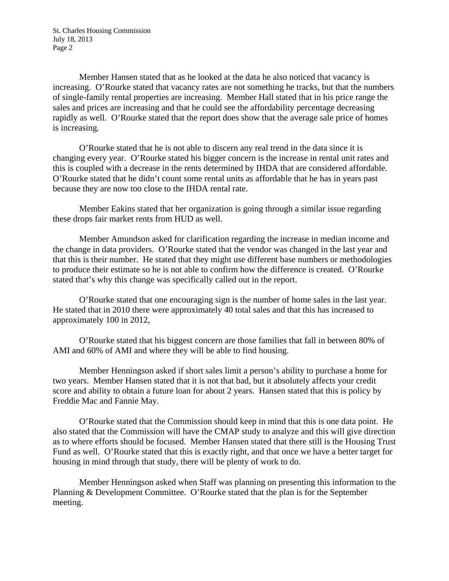St. Charles Housing Commission July 18, 2013 Page 2

Member Hansen stated that as he looked at the data he also noticed that vacancy is increasing. O'Rourke stated that vacancy rates are not something he tracks, but that the numbers of single-family rental properties are increasing. Member Hall stated that in his price range the sales and prices are increasing and that he could see the affordability percentage decreasing rapidly as well. O'Rourke stated that the report does show that the average sale price of homes is increasing.

O'Rourke stated that he is not able to discern any real trend in the data since it is changing every year. O'Rourke stated his bigger concern is the increase in rental unit rates and this is coupled with a decrease in the rents determined by IHDA that are considered affordable. O'Rourke stated that he didn't count some rental units as affordable that he has in years past because they are now too close to the IHDA rental rate.

Member Eakins stated that her organization is going through a similar issue regarding these drops fair market rents from HUD as well.

Member Amundson asked for clarification regarding the increase in median income and the change in data providers. O'Rourke stated that the vendor was changed in the last year and that this is their number. He stated that they might use different base numbers or methodologies to produce their estimate so he is not able to confirm how the difference is created. O'Rourke stated that's why this change was specifically called out in the report.

O'Rourke stated that one encouraging sign is the number of home sales in the last year. He stated that in 2010 there were approximately 40 total sales and that this has increased to approximately 100 in 2012,

O'Rourke stated that his biggest concern are those families that fall in between 80% of AMI and 60% of AMI and where they will be able to find housing.

Member Henningson asked if short sales limit a person's ability to purchase a home for two years. Member Hansen stated that it is not that bad, but it absolutely affects your credit score and ability to obtain a future loan for about 2 years. Hansen stated that this is policy by Freddie Mac and Fannie May.

O'Rourke stated that the Commission should keep in mind that this is one data point. He also stated that the Commission will have the CMAP study to analyze and this will give direction as to where efforts should be focused. Member Hansen stated that there still is the Housing Trust Fund as well. O'Rourke stated that this is exactly right, and that once we have a better target for housing in mind through that study, there will be plenty of work to do.

Member Henningson asked when Staff was planning on presenting this information to the Planning & Development Committee. O'Rourke stated that the plan is for the September meeting.